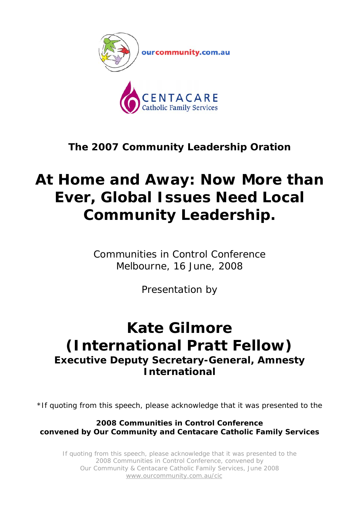

## **The 2007 Community Leadership Oration**

## **At Home and Away: Now More than Ever, Global Issues Need Local Community Leadership.**

Communities in Control Conference Melbourne, 16 June, 2008

Presentation by

## **Kate Gilmore (International Pratt Fellow) Executive Deputy Secretary-General, Amnesty International**

\*If quoting from this speech, please acknowledge that it was presented to the

**2008 Communities in Control Conference convened by Our Community and Centacare Catholic Family Services**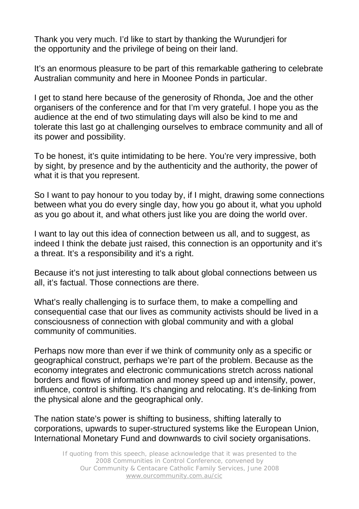Thank you very much. I'd like to start by thanking the Wurundjeri for the opportunity and the privilege of being on their land.

It's an enormous pleasure to be part of this remarkable gathering to celebrate Australian community and here in Moonee Ponds in particular.

I get to stand here because of the generosity of Rhonda, Joe and the other organisers of the conference and for that I'm very grateful. I hope you as the audience at the end of two stimulating days will also be kind to me and tolerate this last go at challenging ourselves to embrace community and all of its power and possibility.

To be honest, it's quite intimidating to be here. You're very impressive, both by sight, by presence and by the authenticity and the authority, the power of what it is that you represent.

So I want to pay honour to you today by, if I might, drawing some connections between what you do every single day, how you go about it, what you uphold as you go about it, and what others just like you are doing the world over.

I want to lay out this idea of connection between us all, and to suggest, as indeed I think the debate just raised, this connection is an opportunity and it's a threat. It's a responsibility and it's a right.

Because it's not just interesting to talk about global connections between us all, it's factual. Those connections are there.

What's really challenging is to surface them, to make a compelling and consequential case that our lives as community activists should be lived in a consciousness of connection with global community and with a global community of communities.

Perhaps now more than ever if we think of community only as a specific or geographical construct, perhaps we're part of the problem. Because as the economy integrates and electronic communications stretch across national borders and flows of information and money speed up and intensify, power, influence, control is shifting. It's changing and relocating. It's de-linking from the physical alone and the geographical only.

The nation state's power is shifting to business, shifting laterally to corporations, upwards to super-structured systems like the European Union, International Monetary Fund and downwards to civil society organisations.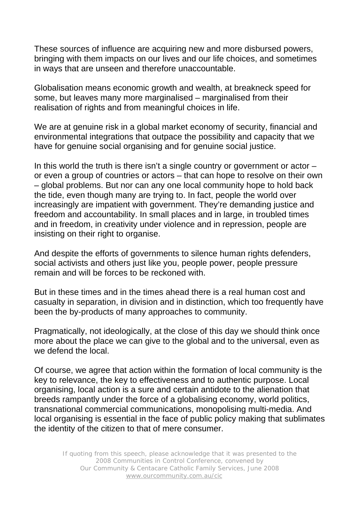These sources of influence are acquiring new and more disbursed powers, bringing with them impacts on our lives and our life choices, and sometimes in ways that are unseen and therefore unaccountable.

Globalisation means economic growth and wealth, at breakneck speed for some, but leaves many more marginalised – marginalised from their realisation of rights and from meaningful choices in life.

We are at genuine risk in a global market economy of security, financial and environmental integrations that outpace the possibility and capacity that we have for genuine social organising and for genuine social justice.

In this world the truth is there isn't a single country or government or actor  $$ or even a group of countries or actors – that can hope to resolve on their own – global problems. But nor can any one local community hope to hold back the tide, even though many are trying to. In fact, people the world over increasingly are impatient with government. They're demanding justice and freedom and accountability. In small places and in large, in troubled times and in freedom, in creativity under violence and in repression, people are insisting on their right to organise.

And despite the efforts of governments to silence human rights defenders, social activists and others just like you, people power, people pressure remain and will be forces to be reckoned with.

But in these times and in the times ahead there is a real human cost and casualty in separation, in division and in distinction, which too frequently have been the by-products of many approaches to community.

Pragmatically, not ideologically, at the close of this day we should think once more about the place we can give to the global and to the universal, even as we defend the local.

Of course, we agree that action within the formation of local community is the key to relevance, the key to effectiveness and to authentic purpose. Local organising, local action is a sure and certain antidote to the alienation that breeds rampantly under the force of a globalising economy, world politics, transnational commercial communications, monopolising multi-media. And local organising is essential in the face of public policy making that sublimates the identity of the citizen to that of mere consumer.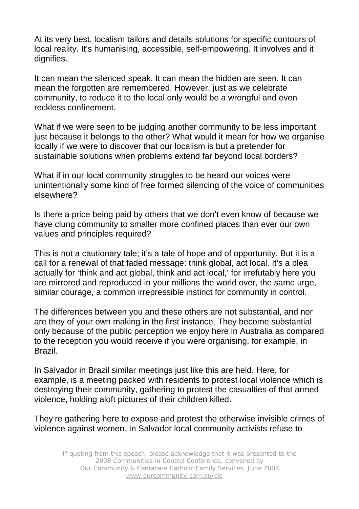At its very best, localism tailors and details solutions for specific contours of local reality. It's humanising, accessible, self-empowering. It involves and it dignifies.

It can mean the silenced speak. It can mean the hidden are seen. It can mean the forgotten are remembered. However, just as we celebrate community, to reduce it to the local only would be a wrongful and even reckless confinement.

What if we were seen to be judging another community to be less important just because it belongs to the other? What would it mean for how we organise locally if we were to discover that our localism is but a pretender for sustainable solutions when problems extend far beyond local borders?

What if in our local community struggles to be heard our voices were unintentionally some kind of free formed silencing of the voice of communities elsewhere?

Is there a price being paid by others that we don't even know of because we have clung community to smaller more confined places than ever our own values and principles required?

This is not a cautionary tale; it's a tale of hope and of opportunity. But it is a call for a renewal of that faded message: think global, act local. It's a plea actually for 'think and act global, think and act local,' for irrefutably here you are mirrored and reproduced in your millions the world over, the same urge, similar courage, a common irrepressible instinct for community in control.

The differences between you and these others are not substantial, and nor are they of your own making in the first instance. They become substantial only because of the public perception we enjoy here in Australia as compared to the reception you would receive if you were organising, for example, in Brazil.

In Salvador in Brazil similar meetings just like this are held. Here, for example, is a meeting packed with residents to protest local violence which is destroying their community, gathering to protest the casualties of that armed violence, holding aloft pictures of their children killed.

They're gathering here to expose and protest the otherwise invisible crimes of violence against women. In Salvador local community activists refuse to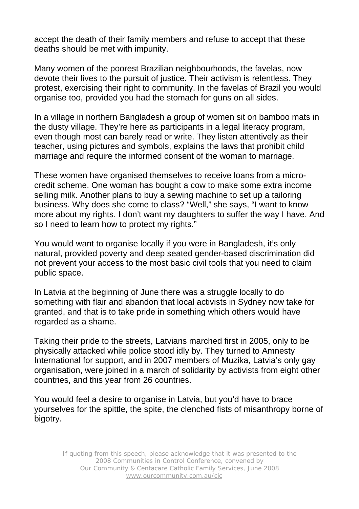accept the death of their family members and refuse to accept that these deaths should be met with impunity.

Many women of the poorest Brazilian neighbourhoods, the favelas, now devote their lives to the pursuit of justice. Their activism is relentless. They protest, exercising their right to community. In the favelas of Brazil you would organise too, provided you had the stomach for guns on all sides.

In a village in northern Bangladesh a group of women sit on bamboo mats in the dusty village. They're here as participants in a legal literacy program, even though most can barely read or write. They listen attentively as their teacher, using pictures and symbols, explains the laws that prohibit child marriage and require the informed consent of the woman to marriage.

These women have organised themselves to receive loans from a microcredit scheme. One woman has bought a cow to make some extra income selling milk. Another plans to buy a sewing machine to set up a tailoring business. Why does she come to class? "Well," she says, "I want to know more about my rights. I don't want my daughters to suffer the way I have. And so I need to learn how to protect my rights."

You would want to organise locally if you were in Bangladesh, it's only natural, provided poverty and deep seated gender-based discrimination did not prevent your access to the most basic civil tools that you need to claim public space.

In Latvia at the beginning of June there was a struggle locally to do something with flair and abandon that local activists in Sydney now take for granted, and that is to take pride in something which others would have regarded as a shame.

Taking their pride to the streets, Latvians marched first in 2005, only to be physically attacked while police stood idly by. They turned to Amnesty International for support, and in 2007 members of Muzika, Latvia's only gay organisation, were joined in a march of solidarity by activists from eight other countries, and this year from 26 countries.

You would feel a desire to organise in Latvia, but you'd have to brace yourselves for the spittle, the spite, the clenched fists of misanthropy borne of bigotry.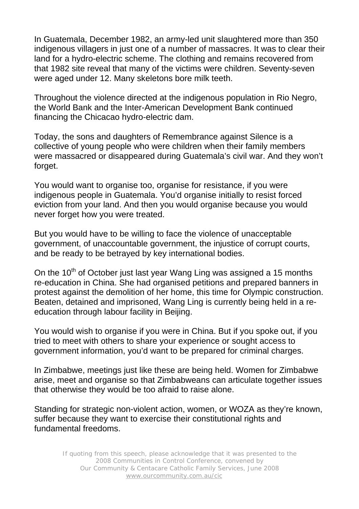In Guatemala, December 1982, an army-led unit slaughtered more than 350 indigenous villagers in just one of a number of massacres. It was to clear their land for a hydro-electric scheme. The clothing and remains recovered from that 1982 site reveal that many of the victims were children. Seventy-seven were aged under 12. Many skeletons bore milk teeth.

Throughout the violence directed at the indigenous population in Rio Negro, the World Bank and the Inter-American Development Bank continued financing the Chicacao hydro-electric dam.

Today, the sons and daughters of Remembrance against Silence is a collective of young people who were children when their family members were massacred or disappeared during Guatemala's civil war. And they won't forget.

You would want to organise too, organise for resistance, if you were indigenous people in Guatemala. You'd organise initially to resist forced eviction from your land. And then you would organise because you would never forget how you were treated.

But you would have to be willing to face the violence of unacceptable government, of unaccountable government, the injustice of corrupt courts, and be ready to be betrayed by key international bodies.

On the  $10<sup>th</sup>$  of October just last year Wang Ling was assigned a 15 months re-education in China. She had organised petitions and prepared banners in protest against the demolition of her home, this time for Olympic construction. Beaten, detained and imprisoned, Wang Ling is currently being held in a reeducation through labour facility in Beijing.

You would wish to organise if you were in China. But if you spoke out, if you tried to meet with others to share your experience or sought access to government information, you'd want to be prepared for criminal charges.

In Zimbabwe, meetings just like these are being held. Women for Zimbabwe arise, meet and organise so that Zimbabweans can articulate together issues that otherwise they would be too afraid to raise alone.

Standing for strategic non-violent action, women, or WOZA as they're known, suffer because they want to exercise their constitutional rights and fundamental freedoms.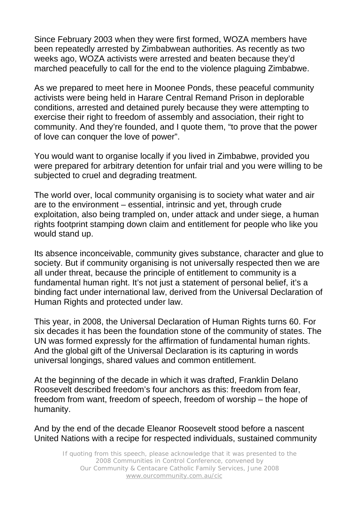Since February 2003 when they were first formed, WOZA members have been repeatedly arrested by Zimbabwean authorities. As recently as two weeks ago, WOZA activists were arrested and beaten because they'd marched peacefully to call for the end to the violence plaguing Zimbabwe.

As we prepared to meet here in Moonee Ponds, these peaceful community activists were being held in Harare Central Remand Prison in deplorable conditions, arrested and detained purely because they were attempting to exercise their right to freedom of assembly and association, their right to community. And they're founded, and I quote them, "to prove that the power of love can conquer the love of power".

You would want to organise locally if you lived in Zimbabwe, provided you were prepared for arbitrary detention for unfair trial and you were willing to be subjected to cruel and degrading treatment.

The world over, local community organising is to society what water and air are to the environment – essential, intrinsic and yet, through crude exploitation, also being trampled on, under attack and under siege, a human rights footprint stamping down claim and entitlement for people who like you would stand up.

Its absence inconceivable, community gives substance, character and glue to society. But if community organising is not universally respected then we are all under threat, because the principle of entitlement to community is a fundamental human right. It's not just a statement of personal belief, it's a binding fact under international law, derived from the Universal Declaration of Human Rights and protected under law.

This year, in 2008, the Universal Declaration of Human Rights turns 60. For six decades it has been the foundation stone of the community of states. The UN was formed expressly for the affirmation of fundamental human rights. And the global gift of the Universal Declaration is its capturing in words universal longings, shared values and common entitlement.

At the beginning of the decade in which it was drafted, Franklin Delano Roosevelt described freedom's four anchors as this: freedom from fear, freedom from want, freedom of speech, freedom of worship – the hope of humanity.

And by the end of the decade Eleanor Roosevelt stood before a nascent United Nations with a recipe for respected individuals, sustained community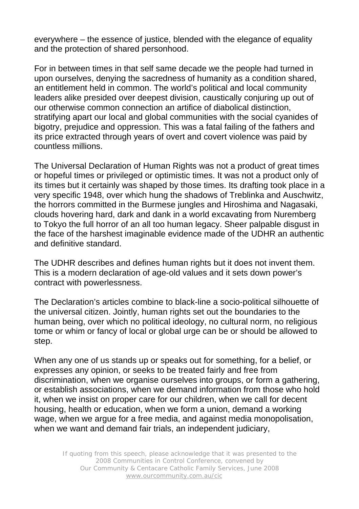everywhere – the essence of justice, blended with the elegance of equality and the protection of shared personhood.

For in between times in that self same decade we the people had turned in upon ourselves, denying the sacredness of humanity as a condition shared, an entitlement held in common. The world's political and local community leaders alike presided over deepest division, caustically conjuring up out of our otherwise common connection an artifice of diabolical distinction, stratifying apart our local and global communities with the social cyanides of bigotry, prejudice and oppression. This was a fatal failing of the fathers and its price extracted through years of overt and covert violence was paid by countless millions.

The Universal Declaration of Human Rights was not a product of great times or hopeful times or privileged or optimistic times. It was not a product only of its times but it certainly was shaped by those times. Its drafting took place in a very specific 1948, over which hung the shadows of Treblinka and Auschwitz, the horrors committed in the Burmese jungles and Hiroshima and Nagasaki, clouds hovering hard, dark and dank in a world excavating from Nuremberg to Tokyo the full horror of an all too human legacy. Sheer palpable disgust in the face of the harshest imaginable evidence made of the UDHR an authentic and definitive standard.

The UDHR describes and defines human rights but it does not invent them. This is a modern declaration of age-old values and it sets down power's contract with powerlessness.

The Declaration's articles combine to black-line a socio-political silhouette of the universal citizen. Jointly, human rights set out the boundaries to the human being, over which no political ideology, no cultural norm, no religious tome or whim or fancy of local or global urge can be or should be allowed to step.

When any one of us stands up or speaks out for something, for a belief, or expresses any opinion, or seeks to be treated fairly and free from discrimination, when we organise ourselves into groups, or form a gathering, or establish associations, when we demand information from those who hold it, when we insist on proper care for our children, when we call for decent housing, health or education, when we form a union, demand a working wage, when we argue for a free media, and against media monopolisation, when we want and demand fair trials, an independent judiciary,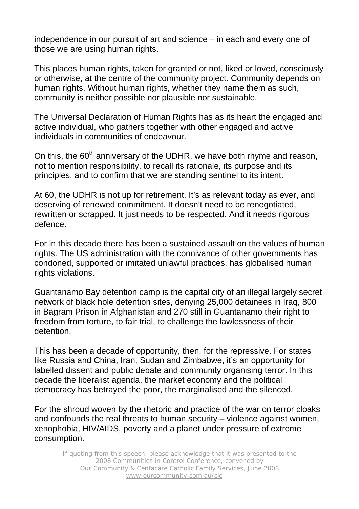independence in our pursuit of art and science – in each and every one of those we are using human rights.

This places human rights, taken for granted or not, liked or loved, consciously or otherwise, at the centre of the community project. Community depends on human rights. Without human rights, whether they name them as such, community is neither possible nor plausible nor sustainable.

The Universal Declaration of Human Rights has as its heart the engaged and active individual, who gathers together with other engaged and active individuals in communities of endeavour.

On this, the  $60<sup>th</sup>$  anniversary of the UDHR, we have both rhyme and reason, not to mention responsibility, to recall its rationale, its purpose and its principles, and to confirm that we are standing sentinel to its intent.

At 60, the UDHR is not up for retirement. It's as relevant today as ever, and deserving of renewed commitment. It doesn't need to be renegotiated, rewritten or scrapped. It just needs to be respected. And it needs rigorous defence.

For in this decade there has been a sustained assault on the values of human rights. The US administration with the connivance of other governments has condoned, supported or imitated unlawful practices, has globalised human rights violations.

Guantanamo Bay detention camp is the capital city of an illegal largely secret network of black hole detention sites, denying 25,000 detainees in Iraq, 800 in Bagram Prison in Afghanistan and 270 still in Guantanamo their right to freedom from torture, to fair trial, to challenge the lawlessness of their detention.

This has been a decade of opportunity, then, for the repressive. For states like Russia and China, Iran, Sudan and Zimbabwe, it's an opportunity for labelled dissent and public debate and community organising terror. In this decade the liberalist agenda, the market economy and the political democracy has betrayed the poor, the marginalised and the silenced.

For the shroud woven by the rhetoric and practice of the war on terror cloaks and confounds the real threats to human security – violence against women, xenophobia, HIV/AIDS, poverty and a planet under pressure of extreme consumption.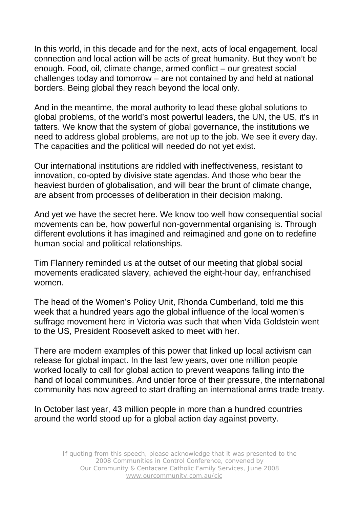In this world, in this decade and for the next, acts of local engagement, local connection and local action will be acts of great humanity. But they won't be enough. Food, oil, climate change, armed conflict – our greatest social challenges today and tomorrow – are not contained by and held at national borders. Being global they reach beyond the local only.

And in the meantime, the moral authority to lead these global solutions to global problems, of the world's most powerful leaders, the UN, the US, it's in tatters. We know that the system of global governance, the institutions we need to address global problems, are not up to the job. We see it every day. The capacities and the political will needed do not yet exist.

Our international institutions are riddled with ineffectiveness, resistant to innovation, co-opted by divisive state agendas. And those who bear the heaviest burden of globalisation, and will bear the brunt of climate change, are absent from processes of deliberation in their decision making.

And yet we have the secret here. We know too well how consequential social movements can be, how powerful non-governmental organising is. Through different evolutions it has imagined and reimagined and gone on to redefine human social and political relationships.

Tim Flannery reminded us at the outset of our meeting that global social movements eradicated slavery, achieved the eight-hour day, enfranchised women.

The head of the Women's Policy Unit, Rhonda Cumberland, told me this week that a hundred years ago the global influence of the local women's suffrage movement here in Victoria was such that when Vida Goldstein went to the US, President Roosevelt asked to meet with her.

There are modern examples of this power that linked up local activism can release for global impact. In the last few years, over one million people worked locally to call for global action to prevent weapons falling into the hand of local communities. And under force of their pressure, the international community has now agreed to start drafting an international arms trade treaty.

In October last year, 43 million people in more than a hundred countries around the world stood up for a global action day against poverty.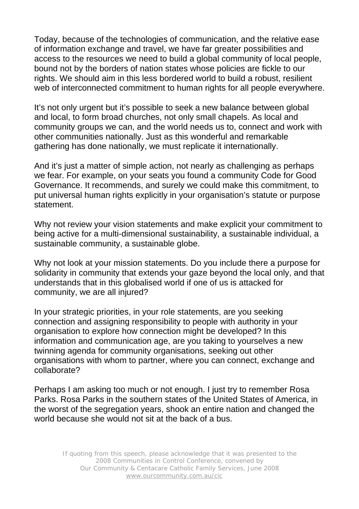Today, because of the technologies of communication, and the relative ease of information exchange and travel, we have far greater possibilities and access to the resources we need to build a global community of local people, bound not by the borders of nation states whose policies are fickle to our rights. We should aim in this less bordered world to build a robust, resilient web of interconnected commitment to human rights for all people everywhere.

It's not only urgent but it's possible to seek a new balance between global and local, to form broad churches, not only small chapels. As local and community groups we can, and the world needs us to, connect and work with other communities nationally. Just as this wonderful and remarkable gathering has done nationally, we must replicate it internationally.

And it's just a matter of simple action, not nearly as challenging as perhaps we fear. For example, on your seats you found a community Code for Good Governance. It recommends, and surely we could make this commitment, to put universal human rights explicitly in your organisation's statute or purpose statement.

Why not review your vision statements and make explicit your commitment to being active for a multi-dimensional sustainability, a sustainable individual, a sustainable community, a sustainable globe.

Why not look at your mission statements. Do you include there a purpose for solidarity in community that extends your gaze beyond the local only, and that understands that in this globalised world if one of us is attacked for community, we are all injured?

In your strategic priorities, in your role statements, are you seeking connection and assigning responsibility to people with authority in your organisation to explore how connection might be developed? In this information and communication age, are you taking to yourselves a new twinning agenda for community organisations, seeking out other organisations with whom to partner, where you can connect, exchange and collaborate?

Perhaps I am asking too much or not enough. I just try to remember Rosa Parks. Rosa Parks in the southern states of the United States of America, in the worst of the segregation years, shook an entire nation and changed the world because she would not sit at the back of a bus.